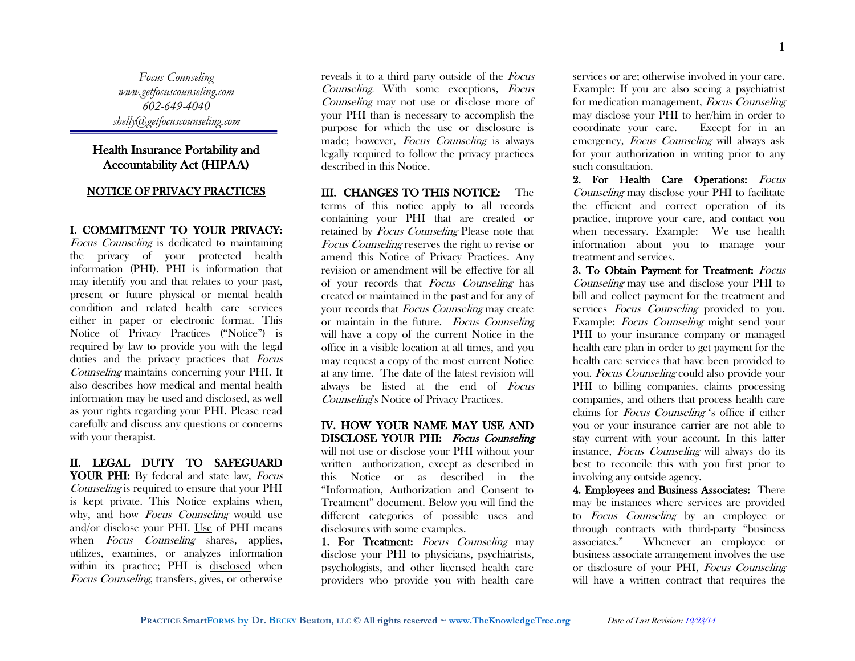*Focus Counseling [www.getfocuscounseling.com](http://www.getfocuscounseling.com/) 602-649-4040 shelly@getfocuscounseling.com*

# Health Insurance Portability and Accountability Act (HIPAA)

#### NOTICE OF PRIVACY PRACTICES

#### I. COMMITMENT TO YOUR PRIVACY:

Focus Counseling is dedicated to maintaining the privacy of your protected health information (PHI). PHI is information that may identify you and that relates to your past, present or future physical or mental health condition and related health care services either in paper or electronic format. This Notice of Privacy Practices ("Notice") is required by law to provide you with the legal duties and the privacy practices that Focus Counseling maintains concerning your PHI. It also describes how medical and mental health information may be used and disclosed, as well as your rights regarding your PHI. Please read carefully and discuss any questions or concerns with your therapist.

### II. LEGAL DUTY TO SAFEGUARD YOUR PHI: By federal and state law, Focus Counseling is required to ensure that your PHI is kept private. This Notice explains when, why, and how *Focus Counseling* would use

and/or disclose your PHI. Use of PHI means when *Focus Counseling* shares, applies, utilizes, examines, or analyzes information within its practice; PHI is disclosed when Focus Counseling, transfers, gives, or otherwise

reveals it to a third party outside of the Focus Counseling. With some exceptions, Focus Counseling may not use or disclose more of your PHI than is necessary to accomplish the purpose for which the use or disclosure is made; however, Focus Counseling is always legally required to follow the privacy practices described in this Notice.

### III. CHANGES TO THIS NOTICE: The terms of this notice apply to all records containing your PHI that are created or retained by Focus Counseling Please note that Focus Counseling reserves the right to revise or amend this Notice of Privacy Practices. Any revision or amendment will be effective for all

of your records that Focus Counseling has created or maintained in the past and for any of your records that Focus Counseling may create or maintain in the future. Focus Counseling will have a copy of the current Notice in the office in a visible location at all times, and you may request a copy of the most current Notice at any time. The date of the latest revision will always be listed at the end of Focus Counseling's Notice of Privacy Practices.

### IV. HOW YOUR NAME MAY USE AND DISCLOSE YOUR PHI: Focus Counseling

will not use or disclose your PHI without your written authorization, except as described in this Notice or as described in the "Information, Authorization and Consent to Treatment" document. Below you will find the different categories of possible uses and disclosures with some examples.

1. For Treatment: Focus Counseling may disclose your PHI to physicians, psychiatrists, psychologists, and other licensed health care providers who provide you with health care services or are; otherwise involved in your care. Example: If you are also seeing a psychiatrist for medication management, Focus Counseling may disclose your PHI to her/him in order to coordinate your care. Except for in an emergency, Focus Counseling will always ask for your authorization in writing prior to any such consultation.

2. For Health Care Operations: Focus Counseling may disclose your PHI to facilitate the efficient and correct operation of its practice, improve your care, and contact you when necessary. Example: We use health information about you to manage your treatment and services.

3. To Obtain Payment for Treatment: Focus Counseling may use and disclose your PHI to bill and collect payment for the treatment and services Focus Counseling provided to you. Example: Focus Counseling might send your PHI to your insurance company or managed health care plan in order to get payment for the health care services that have been provided to you. Focus Counseling could also provide your PHI to billing companies, claims processing companies, and others that process health care claims for Focus Counseling 's office if either you or your insurance carrier are not able to stay current with your account. In this latter instance, Focus Counseling will always do its best to reconcile this with you first prior to involving any outside agency.

4. Employees and Business Associates: There may be instances where services are provided to Focus Counseling by an employee or through contracts with third-party "business associates." Whenever an employee or business associate arrangement involves the use or disclosure of your PHI, Focus Counseling will have a written contract that requires the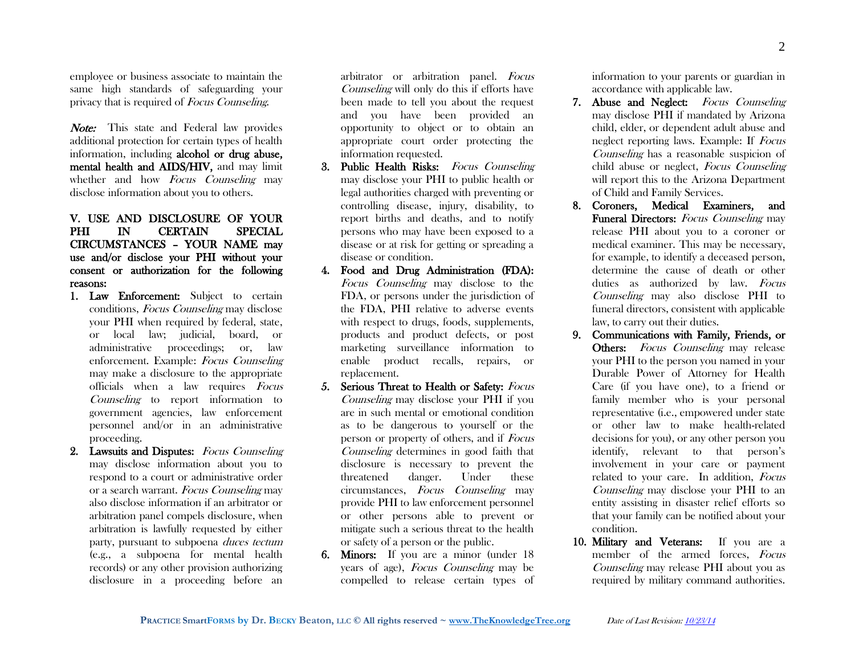employee or business associate to maintain the same high standards of safeguarding your privacy that is required of Focus Counseling.

**Note:** This state and Federal law provides additional protection for certain types of health information, including alcohol or drug abuse, mental health and AIDS/HIV, and may limit whether and how *Focus Counseling* may disclose information about you to others.

# V. USE AND DISCLOSURE OF YOUR PHI IN CERTAIN SPECIAL CIRCUMSTANCES – YOUR NAME may use and/or disclose your PHI without your consent or authorization for the following reasons:

- 1. Law Enforcement: Subject to certain conditions, Focus Counseling may disclose your PHI when required by federal, state, or local law; judicial, board, or administrative proceedings; or, law enforcement. Example: Focus Counseling may make a disclosure to the appropriate officials when a law requires Focus Counseling to report information to government agencies, law enforcement personnel and/or in an administrative proceeding.
- 2. Lawsuits and Disputes: Focus Counseling may disclose information about you to respond to a court or administrative order or a search warrant. Focus Counseling may also disclose information if an arbitrator or arbitration panel compels disclosure, when arbitration is lawfully requested by either party, pursuant to subpoena duces tectum (e.g., a subpoena for mental health records) or any other provision authorizing disclosure in a proceeding before an

arbitrator or arbitration panel. Focus Counseling will only do this if efforts have been made to tell you about the request and you have been provided an opportunity to object or to obtain an appropriate court order protecting the information requested.

- 3. Public Health Risks: Focus Counseling may disclose your PHI to public health or legal authorities charged with preventing or controlling disease, injury, disability, to report births and deaths, and to notify persons who may have been exposed to a disease or at risk for getting or spreading a disease or condition.
- 4. Food and Drug Administration (FDA): Focus Counseling may disclose to the FDA, or persons under the jurisdiction of the FDA, PHI relative to adverse events with respect to drugs, foods, supplements, products and product defects, or post marketing surveillance information to enable product recalls, repairs, or replacement.
- 5. Serious Threat to Health or Safety: Focus Counseling may disclose your PHI if you are in such mental or emotional condition as to be dangerous to yourself or the person or property of others, and if Focus Counseling determines in good faith that disclosure is necessary to prevent the threatened danger. Under these circumstances, Focus Counseling may provide PHI to law enforcement personnel or other persons able to prevent or mitigate such a serious threat to the health or safety of a person or the public.
- 6. Minors: If you are a minor (under 18 years of age), Focus Counseling may be compelled to release certain types of

**PRACTICE SmartFORMS by Dr. BECKY Beaton, LLC © All rights reserved ~ [www.TheKnowledgeTree.org](http://www.theknowledgetree.org/)** Date of Last Revision: 10/23/14

information to your parents or guardian in accordance with applicable law.

- 7. Abuse and Neglect: Focus Counseling may disclose PHI if mandated by Arizona child, elder, or dependent adult abuse and neglect reporting laws. Example: If Focus Counseling has a reasonable suspicion of child abuse or neglect, Focus Counseling will report this to the Arizona Department of Child and Family Services.
- 8. Coroners, Medical Examiners, and Funeral Directors: Focus Counseling may release PHI about you to a coroner or medical examiner. This may be necessary, for example, to identify a deceased person, determine the cause of death or other duties as authorized by law. Focus Counseling may also disclose PHI to funeral directors, consistent with applicable law, to carry out their duties.
- 9. Communications with Family, Friends, or Others: Focus Counseling may release your PHI to the person you named in your Durable Power of Attorney for Health Care (if you have one), to a friend or family member who is your personal representative (i.e., empowered under state or other law to make health-related decisions for you), or any other person you identify, relevant to that person's involvement in your care or payment related to your care. In addition, Focus Counseling may disclose your PHI to an entity assisting in disaster relief efforts so that your family can be notified about your condition.
- 10. Military and Veterans: If you are a member of the armed forces, Focus Counseling may release PHI about you as required by military command authorities.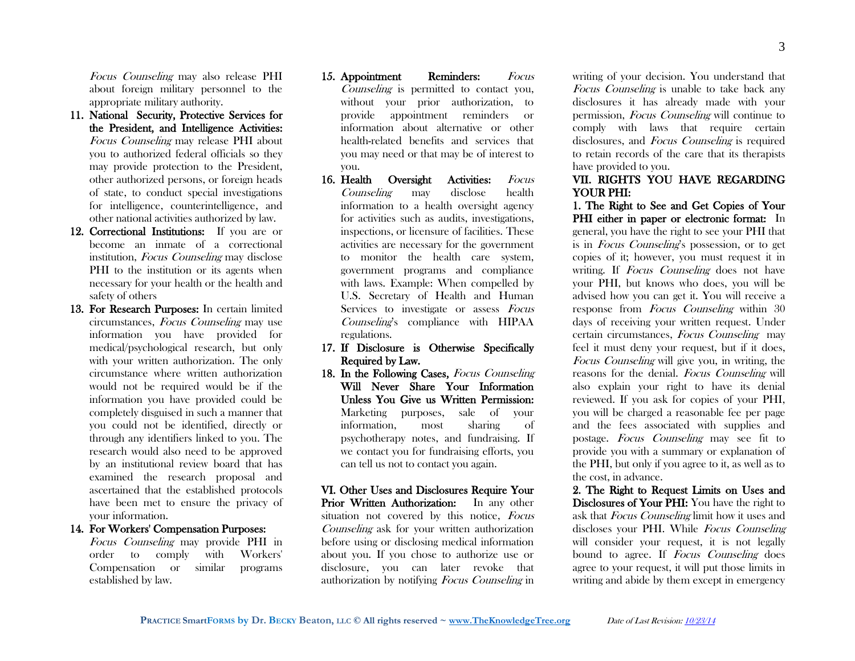Focus Counseling may also release PHI about foreign military personnel to the appropriate military authority.

- 11. National Security, Protective Services for the President, and Intelligence Activities: Focus Counseling may release PHI about you to authorized federal officials so they may provide protection to the President, other authorized persons, or foreign heads of state, to conduct special investigations for intelligence, counterintelligence, and other national activities authorized by law.
- 12. Correctional Institutions: If you are or become an inmate of a correctional institution, Focus Counseling may disclose PHI to the institution or its agents when necessary for your health or the health and safety of others
- 13. For Research Purposes: In certain limited circumstances, Focus Counseling may use information you have provided for medical/psychological research, but only with your written authorization. The only circumstance where written authorization would not be required would be if the information you have provided could be completely disguised in such a manner that you could not be identified, directly or through any identifiers linked to you. The research would also need to be approved by an institutional review board that has examined the research proposal and ascertained that the established protocols have been met to ensure the privacy of your information.

#### 14. For Workers' Compensation Purposes:

Focus Counseling may provide PHI in order to comply with Workers' Compensation or similar programs established by law.

- 15. Appointment Reminders: Focus Counseling is permitted to contact you, without your prior authorization, to provide appointment reminders or information about alternative or other health-related benefits and services that you may need or that may be of interest to you.
- 16. Health Oversight Activities: Focus Counseling may disclose health information to a health oversight agency for activities such as audits, investigations, inspections, or licensure of facilities. These activities are necessary for the government to monitor the health care system, government programs and compliance with laws. Example: When compelled by U.S. Secretary of Health and Human Services to investigate or assess Focus Counseling's compliance with HIPAA regulations.
- 17. If Disclosure is Otherwise Specifically Required by Law.
- 18. In the Following Cases, Focus Counseling Will Never Share Your Information Unless You Give us Written Permission: Marketing purposes, sale of your information, most sharing of psychotherapy notes, and fundraising. If we contact you for fundraising efforts, you can tell us not to contact you again.

VI. Other Uses and Disclosures Require Your Prior Written Authorization: In any other situation not covered by this notice, Focus Counseling ask for your written authorization before using or disclosing medical information about you. If you chose to authorize use or disclosure, you can later revoke that authorization by notifying Focus Counseling in

writing of your decision. You understand that Focus Counseling is unable to take back any disclosures it has already made with your permission, Focus Counseling will continue to comply with laws that require certain disclosures, and *Focus Counseling* is required to retain records of the care that its therapists have provided to you.

### VII. RIGHTS YOU HAVE REGARDING YOUR PHI:

1. The Right to See and Get Copies of Your PHI either in paper or electronic format: In general, you have the right to see your PHI that is in Focus Counseling's possession, or to get copies of it; however, you must request it in writing. If *Focus Counseling* does not have your PHI, but knows who does, you will be advised how you can get it. You will receive a response from *Focus Counseling* within 30 days of receiving your written request. Under certain circumstances, Focus Counseling may feel it must deny your request, but if it does, Focus Counseling will give you, in writing, the reasons for the denial. Focus Counseling will also explain your right to have its denial reviewed. If you ask for copies of your PHI, you will be charged a reasonable fee per page and the fees associated with supplies and postage. Focus Counseling may see fit to provide you with a summary or explanation of the PHI, but only if you agree to it, as well as to the cost, in advance.

2. The Right to Request Limits on Uses and Disclosures of Your PHI: You have the right to ask that Focus Counseling limit how it uses and discloses your PHI. While Focus Counseling will consider your request, it is not legally bound to agree. If *Focus Counseling* does agree to your request, it will put those limits in writing and abide by them except in emergency